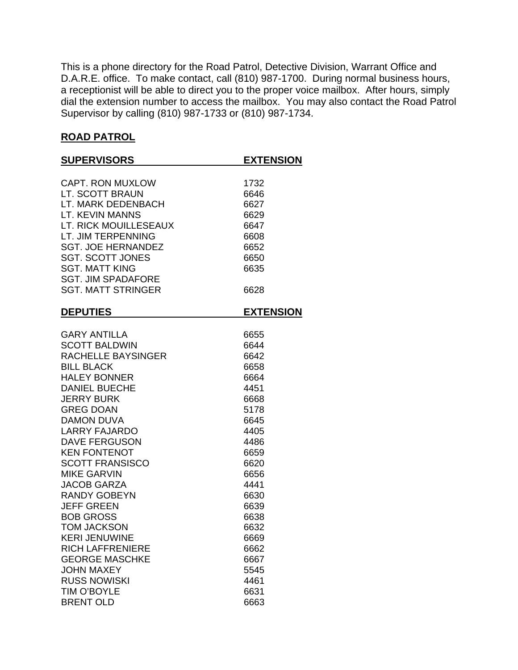This is a phone directory for the Road Patrol, Detective Division, Warrant Office and D.A.R.E. office. To make contact, call (810) 987-1700. During normal business hours, a receptionist will be able to direct you to the proper voice mailbox. After hours, simply dial the extension number to access the mailbox. You may also contact the Road Patrol Supervisor by calling (810) 987-1733 or (810) 987-1734.

## **ROAD PATROL**

| <b>SUPERVISORS</b>        | <b>EXTENSION</b> |
|---------------------------|------------------|
| <b>CAPT. RON MUXLOW</b>   | 1732             |
| LT. SCOTT BRAUN           | 6646             |
| LT. MARK DEDENBACH        | 6627             |
| <b>LT. KEVIN MANNS</b>    | 6629             |
| LT. RICK MOUILLESEAUX     | 6647             |
| LT. JIM TERPENNING        | 6608             |
| <b>SGT. JOE HERNANDEZ</b> | 6652             |
| <b>SGT. SCOTT JONES</b>   | 6650             |
| <b>SGT. MATT KING</b>     | 6635             |
| <b>SGT. JIM SPADAFORE</b> |                  |
| <b>SGT. MATT STRINGER</b> | 6628             |
|                           |                  |
| <b>DEPUTIES</b>           | <b>EXTENSION</b> |
| <b>GARY ANTILLA</b>       | 6655             |
| <b>SCOTT BALDWIN</b>      | 6644             |
| RACHELLE BAYSINGER        | 6642             |
| <b>BILL BLACK</b>         | 6658             |
| <b>HALEY BONNER</b>       | 6664             |
| <b>DANIEL BUECHE</b>      | 4451             |
| <b>JERRY BURK</b>         | 6668             |
| <b>GREG DOAN</b>          | 5178             |
| <b>DAMON DUVA</b>         | 6645             |
| <b>LARRY FAJARDO</b>      | 4405             |
| <b>DAVE FERGUSON</b>      | 4486             |
| <b>KEN FONTENOT</b>       | 6659             |
| <b>SCOTT FRANSISCO</b>    | 6620             |
| <b>MIKE GARVIN</b>        | 6656             |
| <b>JACOB GARZA</b>        | 4441             |
| <b>RANDY GOBEYN</b>       | 6630             |
| <b>JEFF GREEN</b>         | 6639             |
| <b>BOB GROSS</b>          | 6638             |
| <b>TOM JACKSON</b>        | 6632             |
| <b>KERI JENUWINE</b>      | 6669             |
| <b>RICH LAFFRENIERE</b>   | 6662             |
| <b>GEORGE MASCHKE</b>     | 6667             |
| <b>JOHN MAXEY</b>         | 5545             |
| <b>RUSS NOWISKI</b>       | 4461             |
| <b>TIM O'BOYLE</b>        | 6631             |
| <b>BRENT OLD</b>          | 6663             |